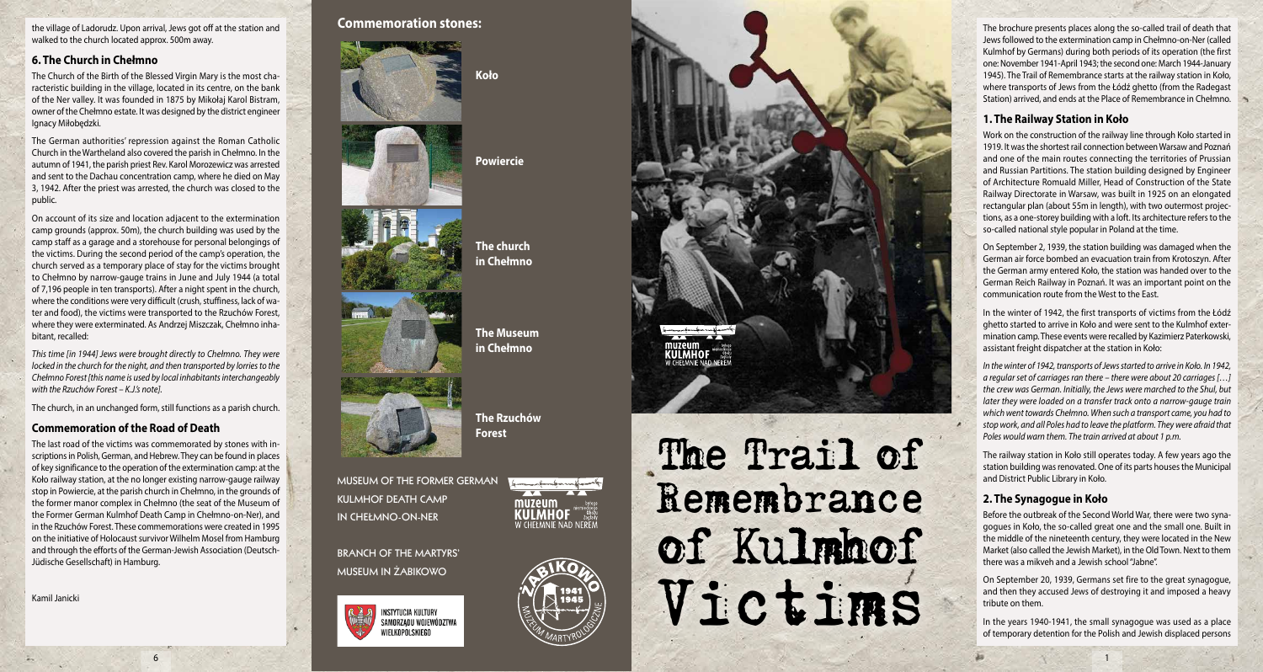the village of Ladorudz. Upon arrival, Jews got off at the station and walked to the church located approx. 500m away.

## **6. The Church in Chełmno**

The Church of the Birth of the Blessed Virgin Mary is the most cha racteristic building in the village, located in its centre, on the bank of the Ner valley. It was founded in 1875 by Mikołaj Karol Bistram, owner of the Chełmno estate. It was designed by the district engineer Ignacy Miłobędzki.

The German authorities' repression against the Roman Catholic Church in the Wartheland also covered the parish in Chełmno. In the autumn of 1941, the parish priest Rev. Karol Morozewicz was arrested and sent to the Dachau concentration camp, where he died on May 3, 1942. After the priest was arrested, the church was closed to the public.

On account of its size and location adjacent to the extermination camp grounds (approx. 50m), the church building was used by the camp staff as a garage and a storehouse for personal belongings of the victims. During the second period of the camp's operation, the church served as a temporary place of stay for the victims brought to Chełmno by narrow-gauge trains in June and July 1944 (a total of 7,196 people in ten transports). After a night spent in the church, where the conditions were very difficult (crush, stuffiness, lack of wa ter and food), the victims were transported to the Rzuchów Forest, where they were exterminated. As Andrzej Miszczak, Chełmno inha bitant, recalled:

*This time [in 1944] Jews were brought directly to Chełmno. They were locked in the church for the night, and then transported by lorries to the Chełmno Forest [this name is used by local inhabitants interchangeably with the Rzuchów Forest – K.J.'s note].* 

The church, in an unchanged form, still functions as a parish church.

### **Commemoration of the Road of Death**

The last road of the victims was commemorated by stones with in scriptions in Polish, German, and Hebrew. They can be found in places of key significance to the operation of the extermination camp: at the Koło railway station, at the no longer existing narrow-gauge railway stop in Powiercie, at the parish church in Chełmno, in the grounds of the former manor complex in Chełmno (the seat of the Museum of the Former German Kulmhof Death Camp in Chełmno-on-Ner), and in the Rzuchów Forest. These commemorations were created in 1995 on the initiative of Holocaust survivor Wilhelm Mosel from Hamburg and through the efforts of the German-Jewish Association (Deutsch-Jüdische Gesellschaft) in Hamburg.

6

Kamil Janicki

# **Commemoration stones:**





**The church in Chełmno** 

> **The Museum in Chełmno**

> > muzeum

**Powiercie**

**Koło**





**MUSEUM OF THE FORMER GERMAN KULMHOF DEATH CAMP IN CHEŁMNO-ON-NER**

**BRANCH OF THE MARTYRS' MUSEUM IN ŻABIKOWO**





# The Trail of Remembrance of Kulmhof Victims

The brochure presents places along the so-called trail of death that Jews followed to the extermination camp in Chełmno-on-Ner (called Kulmhof by Germans) during both periods of its operation (the first one: November 1941-April 1943; the second one: March 1944-January 1945). The Trail of Remembrance starts at the railway station in Koło, where transports of Jews from the Łódź ghetto (from the Radegast Station) arrived, and ends at the Place of Remembrance in Chełmno.

## **1. The Railway Station in Koło**

Work on the construction of the railway line through Koło started in 1919. It was the shortest rail connection between Warsaw and Poznań and one of the main routes connecting the territories of Prussian and Russian Partitions. The station building designed by Engineer of Architecture Romuald Miller, Head of Construction of the State Railway Directorate in Warsaw, was built in 1925 on an elongated rectangular plan (about 55m in length), with two outermost projec tions, as a one-storey building with a loft. Its architecture refers to the so-called national style popular in Poland at the time.

On September 2, 1939, the station building was damaged when the German air force bombed an evacuation train from Krotoszyn. After the German army entered Koło, the station was handed over to the German Reich Railway in Poznań. It was an important point on the communication route from the West to the East.

In the winter of 1942, the first transports of victims from the Łódź ghetto started to arrive in Koło and were sent to the Kulmhof exter mination camp. These events were recalled by Kazimierz Paterkowski, assistant freight dispatcher at the station in Koło:

*In the winter of 1942, transports of Jews started to arrive in Koło. In 1942, a regular set of carriages ran there – there were about 20 carriages […] the crew was German. Initially, the Jews were marched to the Shul, but later they were loaded on a transfer track onto a narrow-gauge train which went towards Chełmno. When such a transport came, you had to stop work, and all Poles had to leave the platform. They were afraid that Poles would warn them. The train arrived at about 1 p.m.*

The railway station in Koło still operates today. A few years ago the station building was renovated. One of its parts houses the Municipal and District Public Library in Koło.

# **2. The Synagogue in Koło**

Before the outbreak of the Second World War, there were two syna gogues in Koło, the so-called great one and the small one. Built in the middle of the nineteenth century, they were located in the New Market (also called the Jewish Market), in the Old Town. Next to them there was a mikveh and a Jewish school "Jabne".

On September 20, 1939, Germans set fire to the great synagogue, and then they accused Jews of destroying it and imposed a heavy tribute on them.

In the years 1940-1941, the small synagogue was used as a place of temporary detention for the Polish and Jewish displaced persons

1